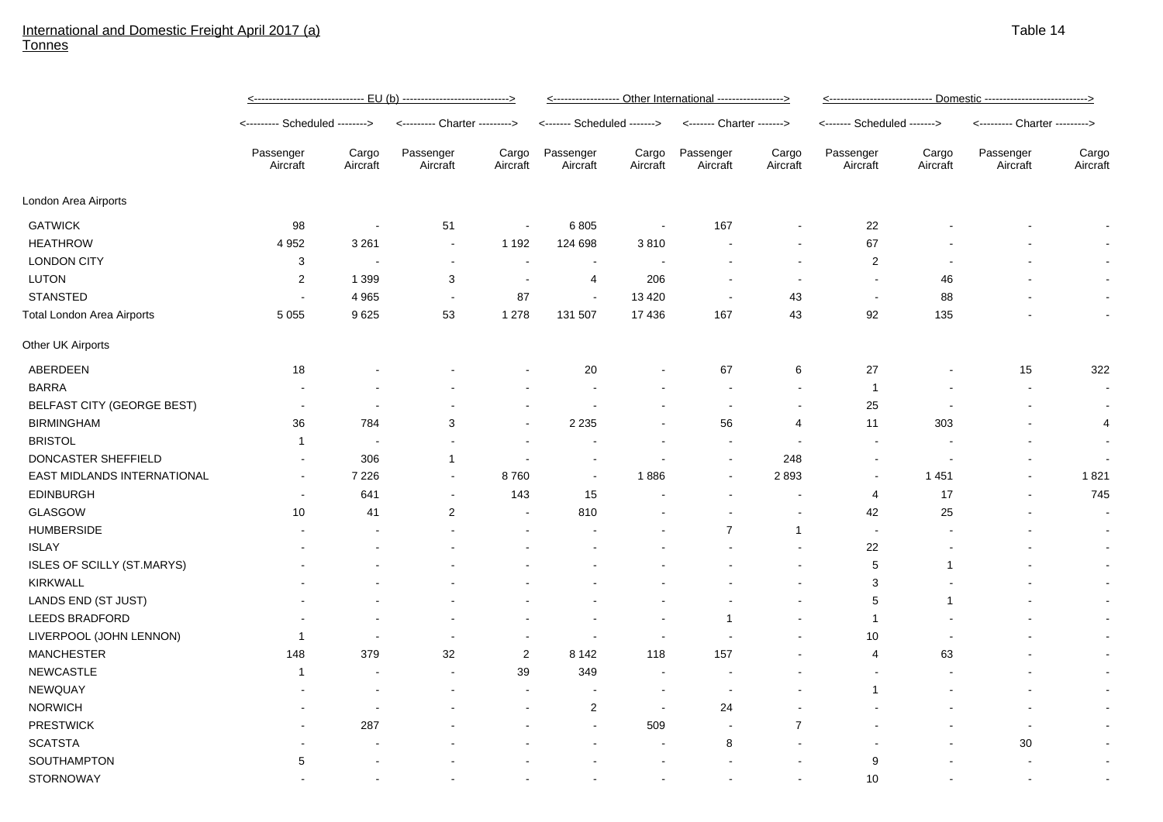## International and Domestic Freight April 2017 (a) **Tonnes**

|                                   | <------------------------------ EU (b) ----------------------------> |                          |                               |                          | <------------------ Other International ------------------> |                   |                           |                          | <u> &lt;--------------------------- Domestic ---------------------------&gt;</u> |                   |                               |                   |
|-----------------------------------|----------------------------------------------------------------------|--------------------------|-------------------------------|--------------------------|-------------------------------------------------------------|-------------------|---------------------------|--------------------------|----------------------------------------------------------------------------------|-------------------|-------------------------------|-------------------|
|                                   | <-------- Scheduled -------->                                        |                          | <--------- Charter ---------> |                          | <------- Scheduled ------->                                 |                   | <------- Charter -------> |                          | <------- Scheduled ------->                                                      |                   | <--------- Charter ---------> |                   |
|                                   | Passenger<br>Aircraft                                                | Cargo<br>Aircraft        | Passenger<br>Aircraft         | Cargo<br>Aircraft        | Passenger<br>Aircraft                                       | Cargo<br>Aircraft | Passenger<br>Aircraft     | Cargo<br>Aircraft        | Passenger<br>Aircraft                                                            | Cargo<br>Aircraft | Passenger<br>Aircraft         | Cargo<br>Aircraft |
| London Area Airports              |                                                                      |                          |                               |                          |                                                             |                   |                           |                          |                                                                                  |                   |                               |                   |
| <b>GATWICK</b>                    | 98                                                                   | ÷,                       | 51                            | $\blacksquare$           | 6805                                                        | $\sim$            | 167                       | $\blacksquare$           | 22                                                                               |                   |                               |                   |
| <b>HEATHROW</b>                   | 4 9 5 2                                                              | 3 2 6 1                  | $\blacksquare$                | 1 1 9 2                  | 124 698                                                     | 3810              |                           | $\blacksquare$           | 67                                                                               |                   |                               | $\sim$            |
| <b>LONDON CITY</b>                | 3                                                                    |                          | $\blacksquare$                | $\overline{\phantom{a}}$ | $\sim$                                                      |                   |                           |                          | $\overline{2}$                                                                   |                   |                               |                   |
| <b>LUTON</b>                      | 2                                                                    | 1 3 9 9                  | 3                             | $\overline{\phantom{a}}$ | 4                                                           | 206               |                           |                          | $\blacksquare$                                                                   | 46                |                               | $\sim$            |
| <b>STANSTED</b>                   | $\sim$                                                               | 4 9 6 5                  | $\blacksquare$                | 87                       | $\sim$                                                      | 13 4 20           | $\overline{\phantom{a}}$  | 43                       | $\blacksquare$                                                                   | 88                |                               | $\sim$            |
| <b>Total London Area Airports</b> | 5 0 5 5                                                              | 9625                     | 53                            | 1 2 7 8                  | 131 507                                                     | 17 436            | 167                       | 43                       | 92                                                                               | 135               |                               | $\sim$            |
| Other UK Airports                 |                                                                      |                          |                               |                          |                                                             |                   |                           |                          |                                                                                  |                   |                               |                   |
| ABERDEEN                          | 18                                                                   |                          |                               |                          | 20                                                          |                   | 67                        | 6                        | 27                                                                               |                   | 15                            | 322               |
| <b>BARRA</b>                      |                                                                      |                          |                               |                          | ٠                                                           |                   | $\overline{\phantom{a}}$  | $\blacksquare$           | $\mathbf{1}$                                                                     |                   |                               | $\sim$            |
| BELFAST CITY (GEORGE BEST)        |                                                                      | $\blacksquare$           |                               | $\overline{\phantom{a}}$ | $\overline{\phantom{a}}$                                    |                   | $\sim$                    | $\overline{\phantom{a}}$ | 25                                                                               |                   |                               | $\sim$            |
| <b>BIRMINGHAM</b>                 | 36                                                                   | 784                      | 3                             | $\blacksquare$           | 2 2 3 5                                                     |                   | 56                        | $\overline{4}$           | 11                                                                               | 303               |                               | 4                 |
| <b>BRISTOL</b>                    | $\mathbf{1}$                                                         | $\overline{\phantom{a}}$ | $\blacksquare$                | $\sim$                   | $\blacksquare$                                              |                   | $\overline{\phantom{a}}$  | $\blacksquare$           | $\blacksquare$                                                                   |                   |                               | $\sim$            |
| DONCASTER SHEFFIELD               |                                                                      | 306                      | $\mathbf 1$                   | ÷,                       | $\sim$                                                      |                   | $\sim$                    | 248                      | $\overline{\phantom{a}}$                                                         |                   |                               |                   |
| EAST MIDLANDS INTERNATIONAL       |                                                                      | 7 2 2 6                  | $\blacksquare$                | 8760                     | $\blacksquare$                                              | 1886              | $\overline{\phantom{a}}$  | 2893                     | $\overline{\phantom{a}}$                                                         | 1451              |                               | 1821              |
| <b>EDINBURGH</b>                  |                                                                      | 641                      | $\blacksquare$                | 143                      | 15                                                          |                   |                           |                          | $\overline{4}$                                                                   | 17                |                               | 745               |
| GLASGOW                           | 10                                                                   | 41                       | $\overline{2}$                | $\blacksquare$           | 810                                                         |                   |                           | $\blacksquare$           | 42                                                                               | 25                |                               |                   |
| <b>HUMBERSIDE</b>                 |                                                                      |                          |                               |                          |                                                             |                   | $\overline{7}$            | $\mathbf{1}$             | $\blacksquare$                                                                   |                   |                               |                   |
| <b>ISLAY</b>                      |                                                                      |                          |                               |                          |                                                             |                   |                           |                          | 22                                                                               |                   |                               |                   |
| ISLES OF SCILLY (ST.MARYS)        |                                                                      |                          |                               |                          |                                                             |                   |                           |                          | 5                                                                                | 1                 |                               |                   |
| KIRKWALL                          |                                                                      |                          |                               |                          |                                                             |                   |                           |                          | 3                                                                                |                   |                               |                   |
| LANDS END (ST JUST)               |                                                                      |                          |                               |                          |                                                             |                   |                           |                          | 5                                                                                | $\mathbf 1$       |                               |                   |
| LEEDS BRADFORD                    |                                                                      |                          |                               |                          |                                                             |                   | -1                        |                          | $\mathbf{1}$                                                                     |                   |                               | $\sim$            |
| LIVERPOOL (JOHN LENNON)           | -1                                                                   | ÷,                       | $\blacksquare$                | $\blacksquare$           | $\sim$                                                      |                   |                           |                          | 10                                                                               |                   |                               | $\sim$            |
| <b>MANCHESTER</b>                 | 148                                                                  | 379                      | 32                            | 2                        | 8 1 4 2                                                     | 118               | 157                       |                          | 4                                                                                | 63                |                               | $\sim$            |
| <b>NEWCASTLE</b>                  | 1                                                                    |                          | $\blacksquare$                | 39                       | 349                                                         |                   |                           |                          |                                                                                  |                   |                               | $\sim$            |
| NEWQUAY                           |                                                                      |                          |                               | ÷,                       |                                                             |                   |                           |                          | $\mathbf{1}$                                                                     |                   |                               | $\sim$            |
| <b>NORWICH</b>                    |                                                                      |                          |                               | $\overline{\phantom{a}}$ | $\overline{2}$                                              |                   | 24                        |                          |                                                                                  |                   |                               | $\sim$            |
| <b>PRESTWICK</b>                  |                                                                      | 287                      |                               |                          | $\blacksquare$                                              | 509               | $\blacksquare$            | $\overline{7}$           |                                                                                  |                   | $\overline{\phantom{a}}$      | $\sim$            |
| <b>SCATSTA</b>                    |                                                                      |                          |                               |                          | $\blacksquare$                                              |                   | 8                         |                          |                                                                                  |                   | $30\,$                        | $\sim$            |
| SOUTHAMPTON                       | 5                                                                    |                          |                               |                          |                                                             |                   |                           |                          | 9                                                                                |                   |                               | $\sim$            |
| <b>STORNOWAY</b>                  |                                                                      |                          |                               |                          |                                                             |                   | $\blacksquare$            |                          | 10                                                                               |                   |                               |                   |